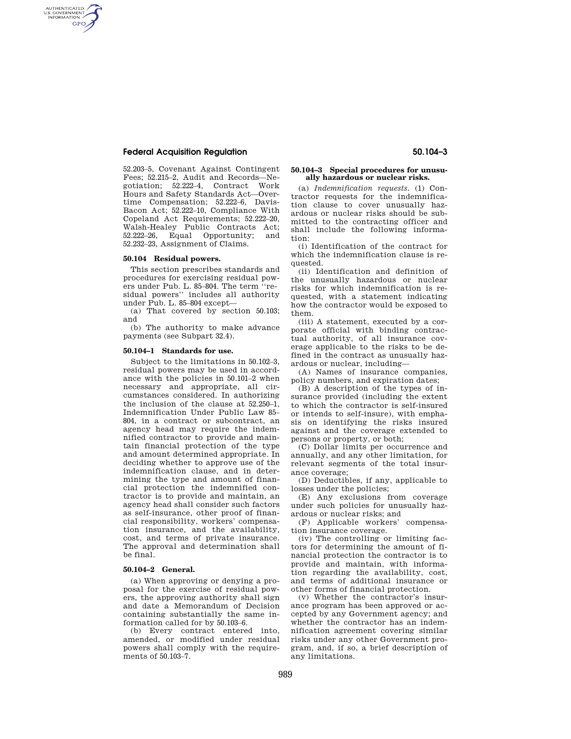# **Federal Acquisition Regulation 50.104–3**

AUTHENTICATED<br>U.S. GOVERNMENT<br>INFORMATION **GPO** 

> 52.203–5, Covenant Against Contingent Fees; 52.215–2, Audit and Records—Negotiation; 52.222–4, Contract Work Hours and Safety Standards Act—Overtime Compensation; 52.222–6, Davis-Bacon Act; 52.222–10, Compliance With Copeland Act Requirements; 52.222–20, Walsh-Healey Public Contracts Act; 52.222–26, Equal Opportunity; and 52.232–23, Assignment of Claims.

## **50.104 Residual powers.**

This section prescribes standards and procedures for exercising residual powers under Pub. L. 85–804. The term ''residual powers'' includes all authority under Pub. L. 85–804 except—

(a) That covered by section 50.103; and

(b) The authority to make advance payments (see Subpart 32.4).

#### **50.104–1 Standards for use.**

Subject to the limitations in 50.102–3, residual powers may be used in accordance with the policies in 50.101–2 when necessary and appropriate, all circumstances considered. In authorizing the inclusion of the clause at 52.250–1, Indemnification Under Public Law 85– 804, in a contract or subcontract, an agency head may require the indemnified contractor to provide and maintain financial protection of the type and amount determined appropriate. In deciding whether to approve use of the indemnification clause, and in determining the type and amount of financial protection the indemnified contractor is to provide and maintain, an agency head shall consider such factors as self-insurance, other proof of financial responsibility, workers' compensation insurance, and the availability, cost, and terms of private insurance. The approval and determination shall be final.

#### **50.104–2 General.**

(a) When approving or denying a proposal for the exercise of residual powers, the approving authority shall sign and date a Memorandum of Decision containing substantially the same information called for by 50.103–6.

(b) Every contract entered into, amended, or modified under residual powers shall comply with the requirements of 50.103–7.

### **50.104–3 Special procedures for unusually hazardous or nuclear risks.**

(a) *Indemnification requests.* (1) Contractor requests for the indemnification clause to cover unusually hazardous or nuclear risks should be submitted to the contracting officer and shall include the following information:

(i) Identification of the contract for which the indemnification clause is requested.

(ii) Identification and definition of the unusually hazardous or nuclear risks for which indemnification is requested, with a statement indicating how the contractor would be exposed to them.

(iii) A statement, executed by a corporate official with binding contractual authority, of all insurance coverage applicable to the risks to be defined in the contract as unusually hazardous or nuclear, including—

(A) Names of insurance companies, policy numbers, and expiration dates;

(B) A description of the types of insurance provided (including the extent to which the contractor is self-insured or intends to self-insure), with emphasis on identifying the risks insured against and the coverage extended to persons or property, or both;

(C) Dollar limits per occurrence and annually, and any other limitation, for relevant segments of the total insurance coverage;

(D) Deductibles, if any, applicable to losses under the policies;

(E) Any exclusions from coverage under such policies for unusually hazardous or nuclear risks; and

(F) Applicable workers' compensation insurance coverage.

(iv) The controlling or limiting factors for determining the amount of financial protection the contractor is to provide and maintain, with information regarding the availability, cost, and terms of additional insurance or other forms of financial protection.

(v) Whether the contractor's insurance program has been approved or accepted by any Government agency; and whether the contractor has an indemnification agreement covering similar risks under any other Government program, and, if so, a brief description of any limitations.